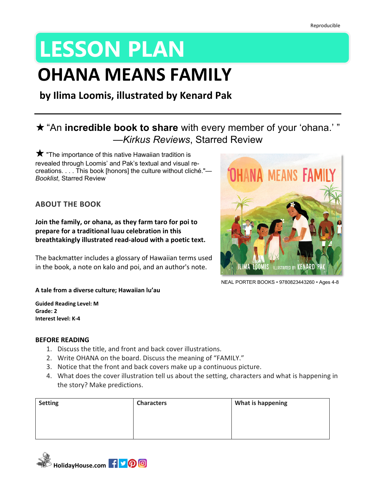# **LESSON PLAN**

## **OHANA MEANS FAMILY**

**by Ilima Loomis, illustrated by Kenard Pak**

## ★ "An **incredible book to share** with every member of your 'ohana.' " —*Kirkus Reviews*, Starred Review

 $\bigstar$  "The importance of this native Hawaiian tradition is revealed through Loomis' and Pak's textual and visual recreations. . . . This book [honors] the culture without cliché."*— Booklist*, Starred Review

#### **ABOUT THE BOOK**

**Join the family, or ohana, as they farm taro for poi to prepare for a traditional luau celebration in this breathtakingly illustrated read-aloud with a poetic text.**

The backmatter includes a glossary of Hawaiian terms used in the book, a note on kalo and poi, and an author's note.



NEAL PORTER BOOKS • 9780823443260 • Ages 4-8

#### **A tale from a diverse culture; Hawaiian lu'au**

**Guided Reading Level: M Grade: 2 Interest level: K-4**

#### **BEFORE READING**

- 1. Discuss the title, and front and back cover illustrations.
- 2. Write OHANA on the board. Discuss the meaning of "FAMILY."
- 3. Notice that the front and back covers make up a continuous picture.
- 4. What does the cover illustration tell us about the setting, characters and what is happening in the story? Make predictions.

| <b>Setting</b> | <b>Characters</b> | What is happening |
|----------------|-------------------|-------------------|
|                |                   |                   |
|                |                   |                   |
|                |                   |                   |

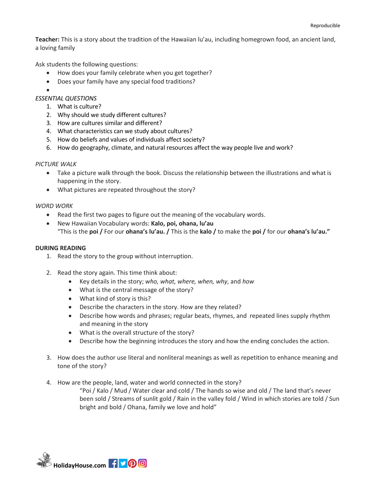**Teacher:** This is a story about the tradition of the Hawaiian lu'au, including homegrown food, an ancient land, a loving family

Ask students the following questions:

- How does your family celebrate when you get together?
- Does your family have any special food traditions?
- •

#### *ESSENTIAL QUESTIONS*

- 1. What is culture?
- 2. Why should we study different cultures?
- 3. How are cultures similar and different?
- 4. What characteristics can we study about cultures?
- 5. How do beliefs and values of individuals affect society?
- 6. How do geography, climate, and natural resources affect the way people live and work?

#### *PICTURE WALK*

- Take a picture walk through the book. Discuss the relationship between the illustrations and what is happening in the story.
- What pictures are repeated throughout the story?

#### *WORD WORK*

- Read the first two pages to figure out the meaning of the vocabulary words.
- New Hawaiian Vocabulary words: **Kalo, poi, ohana, lu'au** "This is the **poi /** For our **ohana's lu'au. /** This is the **kalo /** to make the **poi /** for our **ohana's lu'au."**

#### **DURING READING**

- 1. Read the story to the group without interruption.
- 2. Read the story again. This time think about:
	- Key details in the story; *who, what, where, when, why*, and *how*
	- What is the central message of the story?
	- What kind of story is this?
	- Describe the characters in the story. How are they related?
	- Describe how words and phrases; regular beats, rhymes, and repeated lines supply rhythm and meaning in the story
	- What is the overall structure of the story?
	- Describe how the beginning introduces the story and how the ending concludes the action.
- 3. How does the author use literal and nonliteral meanings as well as repetition to enhance meaning and tone of the story?
- 4. How are the people, land, water and world connected in the story?

"Poi / Kalo / Mud / Water clear and cold / The hands so wise and old / The land that's never been sold / Streams of sunlit gold / Rain in the valley fold / Wind in which stories are told / Sun bright and bold / Ohana, family we love and hold"